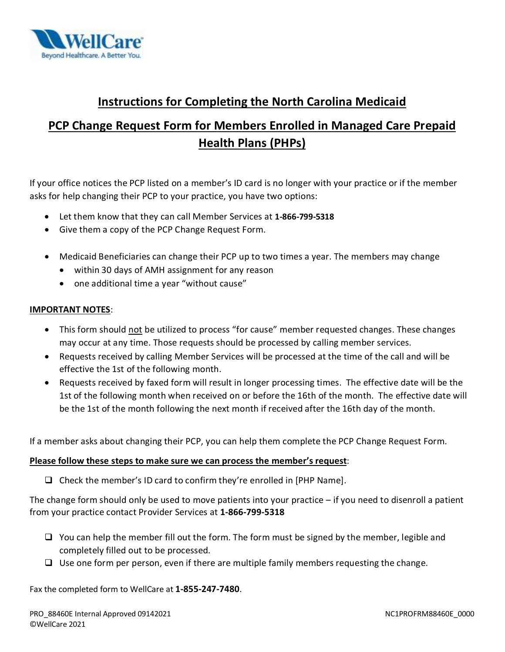

## **Instructions for Completing the North Carolina Medicaid**

# **PCP Change Request Form for Members Enrolled in Managed Care Prepaid Health Plans (PHPs)**

 If your office notices the PCP listed on a member's ID card is no longer with your practice or if the member asks for help changing their PCP to your practice, you have two options:

- Let them know that they can call Member Services at **1-866-799-5318**
- Give them a copy of the PCP Change Request Form.
- • Medicaid Beneficiaries can change their PCP up to two times a year. The members may change
	- within 30 days of AMH assignment for any reason
	- one additional time a year "without cause"

#### **IMPORTANT NOTES**:

- This form should not be utilized to process "for cause" member requested changes. These changes may occur at any time. Those requests should be processed by calling member services.
- Requests received by calling Member Services will be processed at the time of the call and will be effective the 1st of the following month.
- Requests received by faxed form will result in longer processing times. The effective date will be the 1st of the following month when received on or before the 16th of the month. The effective date will be the 1st of the month following the next month if received after the 16th day of the month.

If a member asks about changing their PCP, you can help them complete the PCP Change Request Form.

#### **Please follow these steps to make sure we can process the member's request**:

 $\Box$  Check the member's ID card to confirm they're enrolled in [PHP Name].

 The change form should only be used to move patients into your practice – if you need to disenroll a patient from your practice contact Provider Services at **1-866-799-5318** 

- $\Box$  You can help the member fill out the form. The form must be signed by the member, legible and completely filled out to be processed.
- $\Box$  Use one form per person, even if there are multiple family members requesting the change.

Fax the completed form to WellCare at **1-855-247-7480**.